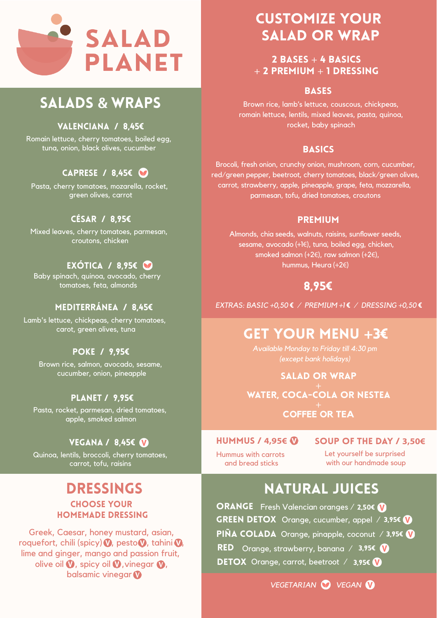#### VALENCIANA / 8,45€

Romain lettuce, cherry tomatoes, boiled egg, tuna, onion, black olives, cucumber

### caprese / 8,45€

Pasta, cherry tomatoes, mozarella, rocket, green olives, carrot

#### cÉsar / 8,95€

Mixed leaves, cherry tomatoes, parmesan, croutons, chicken

### exótica / 8,95€

Baby spinach, quinoa, avocado, cherry tomatoes, feta, almonds

#### MEDITERRÁNEA / 8,45€

Greek, Caesar, honey mustard, asian, roquefort, chili (spicy)  $\nabla$ , pesto $\nabla$ , tahini  $\nabla$ , lime and ginger, mango and passion fruit, olive oil  $\bm{\mathsf{V}}$ , spicy oil  $\bm{\mathsf{V}}$ , vinegar  $\bm{\mathsf{V}}$ , balsamic vinegar **V** 

Lamb's lettuce, chickpeas, cherry tomatoes, carot, green olives, tuna

#### poke / 9,95€

Brown rice, salmon, avocado, sesame, cucumber, onion, pineapple

 $2$  BASES + 4 BASICS + 2 pREMIUM + 1 dressing

#### **BASES**

#### Planet / 9,95€

Pasta, rocket, parmesan, dried tomatoes, apple, smoked salmon

#### VEGANA / 8,45€ **V**

Quinoa, lentils, broccoli, cherry tomatoes, carrot, tofu, raisins

### dRESSINGS

#### CHOOSE YOUR HOMEMADE DRESSING

# customize your salad or wrap

#### PREMIUM



# SALADS & WRAPS &

Brown rice, lamb's lettuce, couscous, chickpeas, romain lettuce, lentils, mixed leaves, pasta, quinoa, rocket, baby spinach

#### **BASICS**

Brocoli, fresh onion, crunchy onion, mushroom, corn, cucumber, red/green pepper, beetroot, cherry tomatoes, black/green olives, carrot, strawberry, apple, pineapple, grape, feta, mozzarella, parmesan, tofu, dried tomatoes, croutons

Almonds, chia seeds, walnuts, raisins, sunflower seeds, sesame, avocado (+1€), tuna, boiled egg, chicken, smoked salmon (+2€), raw salmon (+2€), hummus, Heura (+2€)

### 8,95€

*EXTRAS: BASIC +0,50* € */ PREMIUM +1* € */ DRESSING +0,50* €

# GET YOUR MENU **+**3€

*Available Monday to Friday till 4:30 pm (except bank holidays)* 

SALAD OR WRAP + WATER, coca-cola oR nestea + **COFFEE OR TEA**

#### HUMMUS / **4,95€** Soup of the day / **3,50€**

Hummus with carrots and bread sticks

Let yourself be surprised with our handmade soup

## natural juices

ORANGE Fresh Valencian oranges / 2,50€ GREEN DETOX Orange, cucumber, appel / 3,95€ PIÑA COLADA Orange, pinapple, coconut / 3,95€ RED Orange, strawberry, banana / 3,95€ DETOX Orange, carrot, beetroot / 3,95€

*VEGETARIAN VEGAN*